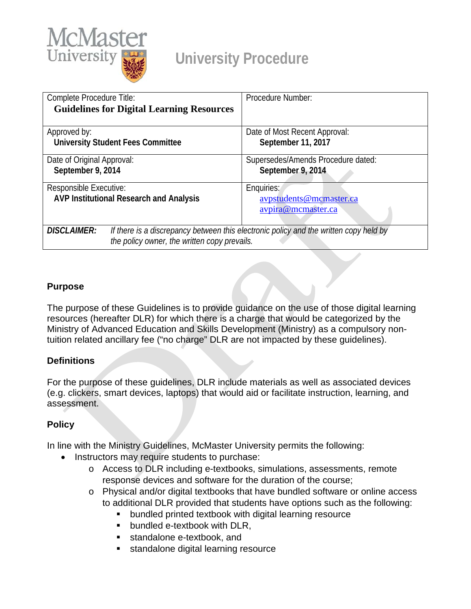

## **University Procedure**

| Complete Procedure Title:                                                                                   | Procedure Number:                  |  |  |  |  |
|-------------------------------------------------------------------------------------------------------------|------------------------------------|--|--|--|--|
| <b>Guidelines for Digital Learning Resources</b>                                                            |                                    |  |  |  |  |
|                                                                                                             |                                    |  |  |  |  |
| Approved by:                                                                                                | Date of Most Recent Approval:      |  |  |  |  |
| <b>University Student Fees Committee</b>                                                                    | September 11, 2017                 |  |  |  |  |
|                                                                                                             |                                    |  |  |  |  |
| Date of Original Approval:                                                                                  | Supersedes/Amends Procedure dated: |  |  |  |  |
| September 9, 2014                                                                                           | September 9, 2014                  |  |  |  |  |
|                                                                                                             |                                    |  |  |  |  |
| Responsible Executive:                                                                                      | Enquiries:                         |  |  |  |  |
| AVP Institutional Research and Analysis                                                                     | avpstudents@mcmaster.ca            |  |  |  |  |
|                                                                                                             | avpira@mcmaster.ca                 |  |  |  |  |
|                                                                                                             |                                    |  |  |  |  |
| If there is a discrepancy between this electronic policy and the written copy held by<br><b>DISCLAIMER:</b> |                                    |  |  |  |  |
| the policy owner, the written copy prevails.                                                                |                                    |  |  |  |  |

## **Purpose**

The purpose of these Guidelines is to provide guidance on the use of those digital learning resources (hereafter DLR) for which there is a charge that would be categorized by the Ministry of Advanced Education and Skills Development (Ministry) as a compulsory nontuition related ancillary fee ("no charge" DLR are not impacted by these guidelines).

## **Definitions**

For the purpose of these guidelines, DLR include materials as well as associated devices (e.g. clickers, smart devices, laptops) that would aid or facilitate instruction, learning, and assessment.

## **Policy**

In line with the Ministry Guidelines, McMaster University permits the following:

- Instructors may require students to purchase:
	- o Access to DLR including e-textbooks, simulations, assessments, remote response devices and software for the duration of the course;
	- o Physical and/or digital textbooks that have bundled software or online access to additional DLR provided that students have options such as the following:
		- bundled printed textbook with digital learning resource
		- **•** bundled e-textbook with DLR.
		- standalone e-textbook, and
		- standalone digital learning resource